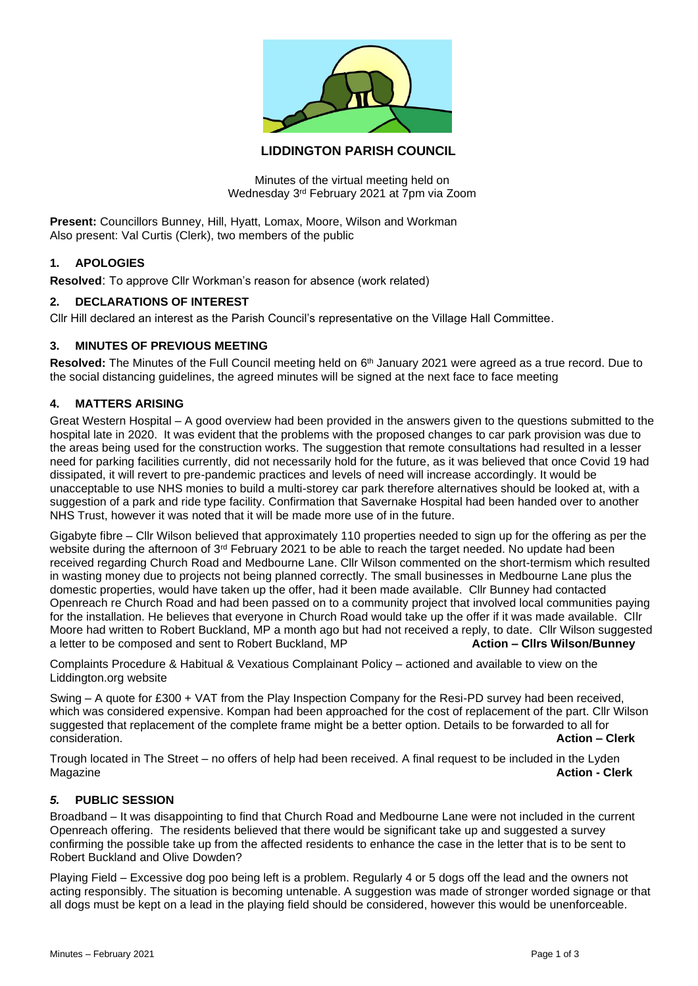

# **LIDDINGTON PARISH COUNCIL**

Minutes of the virtual meeting held on Wednesday 3rd February 2021 at 7pm via Zoom

**Present:** Councillors Bunney, Hill, Hyatt, Lomax, Moore, Wilson and Workman Also present: Val Curtis (Clerk), two members of the public

### **1. APOLOGIES**

**Resolved**: To approve Cllr Workman's reason for absence (work related)

#### **2. DECLARATIONS OF INTEREST**

Cllr Hill declared an interest as the Parish Council's representative on the Village Hall Committee.

### **3. MINUTES OF PREVIOUS MEETING**

Resolved: The Minutes of the Full Council meeting held on 6<sup>th</sup> January 2021 were agreed as a true record. Due to the social distancing guidelines, the agreed minutes will be signed at the next face to face meeting

#### **4. MATTERS ARISING**

Great Western Hospital – A good overview had been provided in the answers given to the questions submitted to the hospital late in 2020. It was evident that the problems with the proposed changes to car park provision was due to the areas being used for the construction works. The suggestion that remote consultations had resulted in a lesser need for parking facilities currently, did not necessarily hold for the future, as it was believed that once Covid 19 had dissipated, it will revert to pre-pandemic practices and levels of need will increase accordingly. It would be unacceptable to use NHS monies to build a multi-storey car park therefore alternatives should be looked at, with a suggestion of a park and ride type facility. Confirmation that Savernake Hospital had been handed over to another NHS Trust, however it was noted that it will be made more use of in the future.

Gigabyte fibre – Cllr Wilson believed that approximately 110 properties needed to sign up for the offering as per the website during the afternoon of 3<sup>rd</sup> February 2021 to be able to reach the target needed. No update had been received regarding Church Road and Medbourne Lane. Cllr Wilson commented on the short-termism which resulted in wasting money due to projects not being planned correctly. The small businesses in Medbourne Lane plus the domestic properties, would have taken up the offer, had it been made available. Cllr Bunney had contacted Openreach re Church Road and had been passed on to a community project that involved local communities paying for the installation. He believes that everyone in Church Road would take up the offer if it was made available. Cllr Moore had written to Robert Buckland, MP a month ago but had not received a reply, to date. Cllr Wilson suggested a letter to be composed and sent to Robert Buckland, MP **Action – Cllrs Wilson/Bunney**

Complaints Procedure & Habitual & Vexatious Complainant Policy – actioned and available to view on the Liddington.org website

Swing – A quote for £300 + VAT from the Play Inspection Company for the Resi-PD survey had been received, which was considered expensive. Kompan had been approached for the cost of replacement of the part. Cllr Wilson suggested that replacement of the complete frame might be a better option. Details to be forwarded to all for consideration. **Action – Clerk**

Trough located in The Street – no offers of help had been received. A final request to be included in the Lyden Magazine **Action - Clerk**

# *5.* **PUBLIC SESSION**

Broadband – It was disappointing to find that Church Road and Medbourne Lane were not included in the current Openreach offering. The residents believed that there would be significant take up and suggested a survey confirming the possible take up from the affected residents to enhance the case in the letter that is to be sent to Robert Buckland and Olive Dowden?

Playing Field – Excessive dog poo being left is a problem. Regularly 4 or 5 dogs off the lead and the owners not acting responsibly. The situation is becoming untenable. A suggestion was made of stronger worded signage or that all dogs must be kept on a lead in the playing field should be considered, however this would be unenforceable.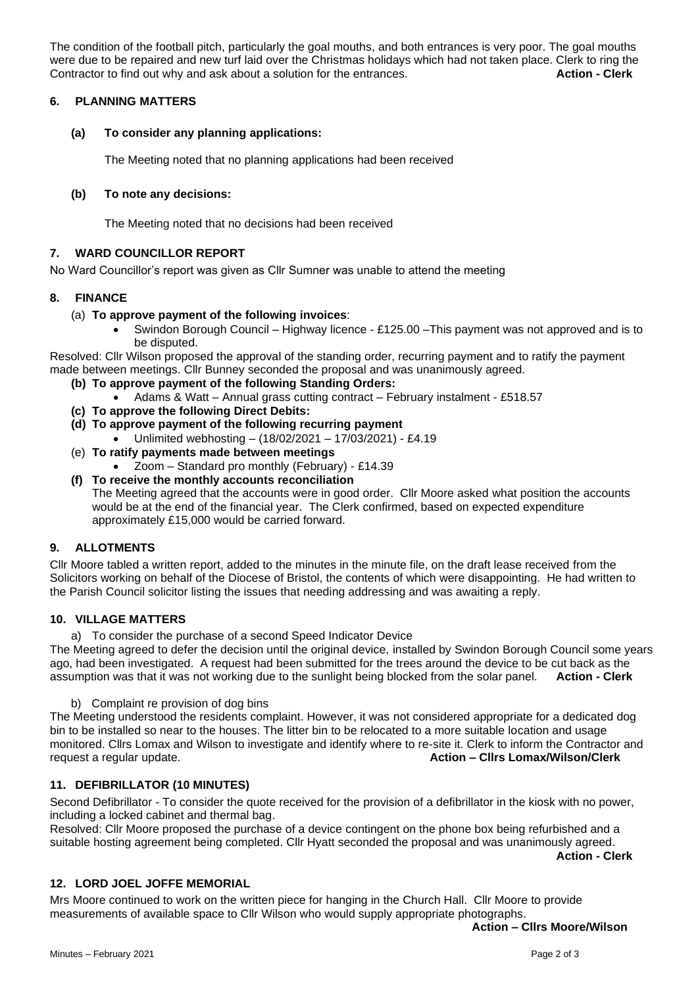The condition of the football pitch, particularly the goal mouths, and both entrances is very poor. The goal mouths were due to be repaired and new turf laid over the Christmas holidays which had not taken place. Clerk to ring the Contractor to find out why and ask about a solution for the entrances. **Action - Clerk**

### **6. PLANNING MATTERS**

## **(a) To consider any planning applications:**

The Meeting noted that no planning applications had been received

# **(b) To note any decisions:**

The Meeting noted that no decisions had been received

# **7. WARD COUNCILLOR REPORT**

No Ward Councillor's report was given as Cllr Sumner was unable to attend the meeting

### **8. FINANCE**

### (a) **To approve payment of the following invoices**:

• Swindon Borough Council – Highway licence - £125.00 –This payment was not approved and is to be disputed.

Resolved: Cllr Wilson proposed the approval of the standing order, recurring payment and to ratify the payment made between meetings. Cllr Bunney seconded the proposal and was unanimously agreed.

- **(b) To approve payment of the following Standing Orders:**
	- Adams & Watt Annual grass cutting contract February instalment £518.57
- **(c) To approve the following Direct Debits:**
- **(d) To approve payment of the following recurring payment**
	- Unlimited webhosting (18/02/2021 17/03/2021) £4.19
- (e) **To ratify payments made between meetings**
	- Zoom Standard pro monthly (February) £14.39
- **(f) To receive the monthly accounts reconciliation** The Meeting agreed that the accounts were in good order. Cllr Moore asked what position the accounts would be at the end of the financial year. The Clerk confirmed, based on expected expenditure approximately £15,000 would be carried forward.

### **9. ALLOTMENTS**

Cllr Moore tabled a written report, added to the minutes in the minute file, on the draft lease received from the Solicitors working on behalf of the Diocese of Bristol, the contents of which were disappointing. He had written to the Parish Council solicitor listing the issues that needing addressing and was awaiting a reply.

### **10. VILLAGE MATTERS**

a) To consider the purchase of a second Speed Indicator Device

The Meeting agreed to defer the decision until the original device, installed by Swindon Borough Council some years ago, had been investigated. A request had been submitted for the trees around the device to be cut back as the assumption was that it was not working due to the sunlight being blocked from the solar panel. **Action - Clerk**

b) Complaint re provision of dog bins

The Meeting understood the residents complaint. However, it was not considered appropriate for a dedicated dog bin to be installed so near to the houses. The litter bin to be relocated to a more suitable location and usage monitored. Cllrs Lomax and Wilson to investigate and identify where to re-site it. Clerk to inform the Contractor and request a regular update. **Action – Cllrs Lomax/Wilson/Clerk**

### **11. DEFIBRILLATOR (10 MINUTES)**

Second Defibrillator - To consider the quote received for the provision of a defibrillator in the kiosk with no power, including a locked cabinet and thermal bag.

Resolved: Cllr Moore proposed the purchase of a device contingent on the phone box being refurbished and a suitable hosting agreement being completed. Cllr Hyatt seconded the proposal and was unanimously agreed.

**Action - Clerk**

### **12. LORD JOEL JOFFE MEMORIAL**

Mrs Moore continued to work on the written piece for hanging in the Church Hall. Cllr Moore to provide measurements of available space to Cllr Wilson who would supply appropriate photographs.

**Action – Cllrs Moore/Wilson**